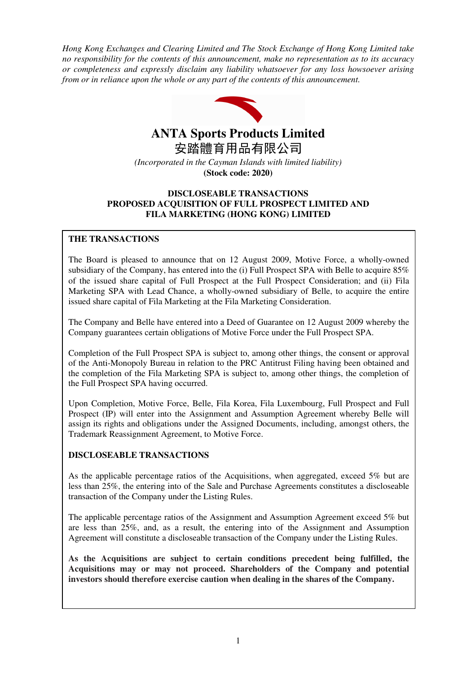*Hong Kong Exchanges and Clearing Limited and The Stock Exchange of Hong Kong Limited take no responsibility for the contents of this announcement, make no representation as to its accuracy or completeness and expressly disclaim any liability whatsoever for any loss howsoever arising from or in reliance upon the whole or any part of the contents of this announcement.* 



# **ANTA Sports Products Limited**

安踏體育用品有限公司 *(Incorporated in the Cayman Islands with limited liability)* 

## **(Stock code: 2020)**

## **DISCLOSEABLE TRANSACTIONS PROPOSED ACQUISITION OF FULL PROSPECT LIMITED AND FILA MARKETING (HONG KONG) LIMITED**

## **THE TRANSACTIONS**

The Board is pleased to announce that on 12 August 2009, Motive Force, a wholly-owned subsidiary of the Company, has entered into the (i) Full Prospect SPA with Belle to acquire 85% of the issued share capital of Full Prospect at the Full Prospect Consideration; and (ii) Fila Marketing SPA with Lead Chance, a wholly-owned subsidiary of Belle, to acquire the entire issued share capital of Fila Marketing at the Fila Marketing Consideration.

The Company and Belle have entered into a Deed of Guarantee on 12 August 2009 whereby the Company guarantees certain obligations of Motive Force under the Full Prospect SPA.

Completion of the Full Prospect SPA is subject to, among other things, the consent or approval of the Anti-Monopoly Bureau in relation to the PRC Antitrust Filing having been obtained and the completion of the Fila Marketing SPA is subject to, among other things, the completion of the Full Prospect SPA having occurred.

Upon Completion, Motive Force, Belle, Fila Korea, Fila Luxembourg, Full Prospect and Full Prospect (IP) will enter into the Assignment and Assumption Agreement whereby Belle will assign its rights and obligations under the Assigned Documents, including, amongst others, the Trademark Reassignment Agreement, to Motive Force.

## **DISCLOSEABLE TRANSACTIONS**

As the applicable percentage ratios of the Acquisitions, when aggregated, exceed 5% but are less than 25%, the entering into of the Sale and Purchase Agreements constitutes a discloseable transaction of the Company under the Listing Rules.

The applicable percentage ratios of the Assignment and Assumption Agreement exceed 5% but are less than 25%, and, as a result, the entering into of the Assignment and Assumption Agreement will constitute a discloseable transaction of the Company under the Listing Rules.

**As the Acquisitions are subject to certain conditions precedent being fulfilled, the Acquisitions may or may not proceed. Shareholders of the Company and potential investors should therefore exercise caution when dealing in the shares of the Company.**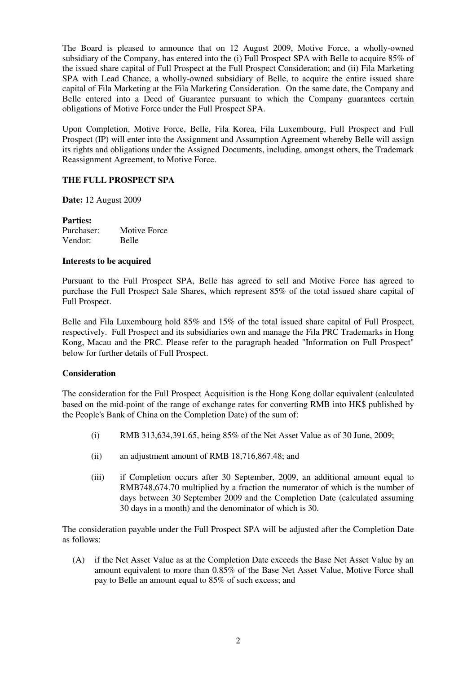The Board is pleased to announce that on 12 August 2009, Motive Force, a wholly-owned subsidiary of the Company, has entered into the (i) Full Prospect SPA with Belle to acquire 85% of the issued share capital of Full Prospect at the Full Prospect Consideration; and (ii) Fila Marketing SPA with Lead Chance, a wholly-owned subsidiary of Belle, to acquire the entire issued share capital of Fila Marketing at the Fila Marketing Consideration. On the same date, the Company and Belle entered into a Deed of Guarantee pursuant to which the Company guarantees certain obligations of Motive Force under the Full Prospect SPA.

Upon Completion, Motive Force, Belle, Fila Korea, Fila Luxembourg, Full Prospect and Full Prospect (IP) will enter into the Assignment and Assumption Agreement whereby Belle will assign its rights and obligations under the Assigned Documents, including, amongst others, the Trademark Reassignment Agreement, to Motive Force.

## **THE FULL PROSPECT SPA**

**Date:** 12 August 2009

**Parties:**  Purchaser: Motive Force Vendor: Belle

## **Interests to be acquired**

Pursuant to the Full Prospect SPA, Belle has agreed to sell and Motive Force has agreed to purchase the Full Prospect Sale Shares, which represent 85% of the total issued share capital of Full Prospect.

Belle and Fila Luxembourg hold 85% and 15% of the total issued share capital of Full Prospect, respectively. Full Prospect and its subsidiaries own and manage the Fila PRC Trademarks in Hong Kong, Macau and the PRC. Please refer to the paragraph headed "Information on Full Prospect" below for further details of Full Prospect.

## **Consideration**

The consideration for the Full Prospect Acquisition is the Hong Kong dollar equivalent (calculated based on the mid-point of the range of exchange rates for converting RMB into HK\$ published by the People's Bank of China on the Completion Date) of the sum of:

- (i) RMB 313,634,391.65, being 85% of the Net Asset Value as of 30 June, 2009;
- (ii) an adjustment amount of RMB 18,716,867.48; and
- (iii) if Completion occurs after 30 September, 2009, an additional amount equal to RMB748,674.70 multiplied by a fraction the numerator of which is the number of days between 30 September 2009 and the Completion Date (calculated assuming 30 days in a month) and the denominator of which is 30.

The consideration payable under the Full Prospect SPA will be adjusted after the Completion Date as follows:

(A) if the Net Asset Value as at the Completion Date exceeds the Base Net Asset Value by an amount equivalent to more than 0.85% of the Base Net Asset Value, Motive Force shall pay to Belle an amount equal to 85% of such excess; and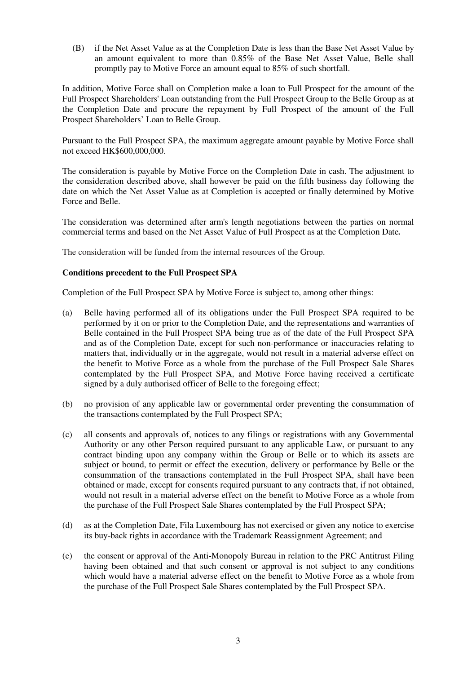(B) if the Net Asset Value as at the Completion Date is less than the Base Net Asset Value by an amount equivalent to more than 0.85% of the Base Net Asset Value, Belle shall promptly pay to Motive Force an amount equal to 85% of such shortfall.

In addition, Motive Force shall on Completion make a loan to Full Prospect for the amount of the Full Prospect Shareholders' Loan outstanding from the Full Prospect Group to the Belle Group as at the Completion Date and procure the repayment by Full Prospect of the amount of the Full Prospect Shareholders' Loan to Belle Group.

Pursuant to the Full Prospect SPA, the maximum aggregate amount payable by Motive Force shall not exceed HK\$600,000,000.

The consideration is payable by Motive Force on the Completion Date in cash. The adjustment to the consideration described above, shall however be paid on the fifth business day following the date on which the Net Asset Value as at Completion is accepted or finally determined by Motive Force and Belle.

The consideration was determined after arm's length negotiations between the parties on normal commercial terms and based on the Net Asset Value of Full Prospect as at the Completion Date*.*

The consideration will be funded from the internal resources of the Group.

## **Conditions precedent to the Full Prospect SPA**

Completion of the Full Prospect SPA by Motive Force is subject to, among other things:

- (a) Belle having performed all of its obligations under the Full Prospect SPA required to be performed by it on or prior to the Completion Date, and the representations and warranties of Belle contained in the Full Prospect SPA being true as of the date of the Full Prospect SPA and as of the Completion Date, except for such non-performance or inaccuracies relating to matters that, individually or in the aggregate, would not result in a material adverse effect on the benefit to Motive Force as a whole from the purchase of the Full Prospect Sale Shares contemplated by the Full Prospect SPA, and Motive Force having received a certificate signed by a duly authorised officer of Belle to the foregoing effect;
- (b) no provision of any applicable law or governmental order preventing the consummation of the transactions contemplated by the Full Prospect SPA;
- (c) all consents and approvals of, notices to any filings or registrations with any Governmental Authority or any other Person required pursuant to any applicable Law, or pursuant to any contract binding upon any company within the Group or Belle or to which its assets are subject or bound, to permit or effect the execution, delivery or performance by Belle or the consummation of the transactions contemplated in the Full Prospect SPA, shall have been obtained or made, except for consents required pursuant to any contracts that, if not obtained, would not result in a material adverse effect on the benefit to Motive Force as a whole from the purchase of the Full Prospect Sale Shares contemplated by the Full Prospect SPA;
- (d) as at the Completion Date, Fila Luxembourg has not exercised or given any notice to exercise its buy-back rights in accordance with the Trademark Reassignment Agreement; and
- (e) the consent or approval of the Anti-Monopoly Bureau in relation to the PRC Antitrust Filing having been obtained and that such consent or approval is not subject to any conditions which would have a material adverse effect on the benefit to Motive Force as a whole from the purchase of the Full Prospect Sale Shares contemplated by the Full Prospect SPA.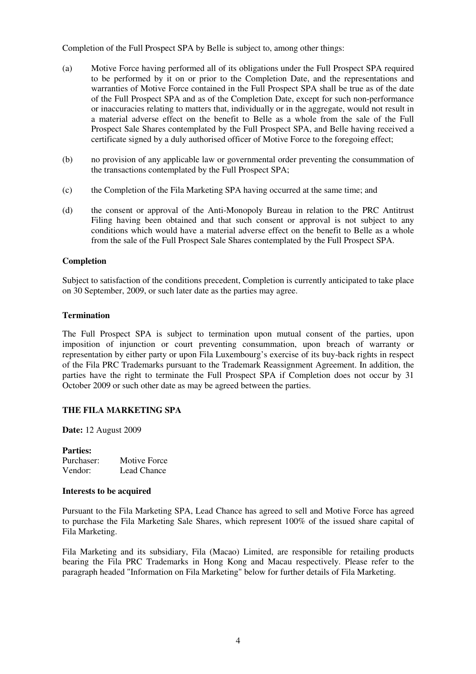Completion of the Full Prospect SPA by Belle is subject to, among other things:

- (a) Motive Force having performed all of its obligations under the Full Prospect SPA required to be performed by it on or prior to the Completion Date, and the representations and warranties of Motive Force contained in the Full Prospect SPA shall be true as of the date of the Full Prospect SPA and as of the Completion Date, except for such non-performance or inaccuracies relating to matters that, individually or in the aggregate, would not result in a material adverse effect on the benefit to Belle as a whole from the sale of the Full Prospect Sale Shares contemplated by the Full Prospect SPA, and Belle having received a certificate signed by a duly authorised officer of Motive Force to the foregoing effect;
- (b) no provision of any applicable law or governmental order preventing the consummation of the transactions contemplated by the Full Prospect SPA;
- (c) the Completion of the Fila Marketing SPA having occurred at the same time; and
- (d) the consent or approval of the Anti-Monopoly Bureau in relation to the PRC Antitrust Filing having been obtained and that such consent or approval is not subject to any conditions which would have a material adverse effect on the benefit to Belle as a whole from the sale of the Full Prospect Sale Shares contemplated by the Full Prospect SPA.

## **Completion**

Subject to satisfaction of the conditions precedent, Completion is currently anticipated to take place on 30 September, 2009, or such later date as the parties may agree.

## **Termination**

The Full Prospect SPA is subject to termination upon mutual consent of the parties, upon imposition of injunction or court preventing consummation, upon breach of warranty or representation by either party or upon Fila Luxembourg's exercise of its buy-back rights in respect of the Fila PRC Trademarks pursuant to the Trademark Reassignment Agreement. In addition, the parties have the right to terminate the Full Prospect SPA if Completion does not occur by 31 October 2009 or such other date as may be agreed between the parties.

## **THE FILA MARKETING SPA**

**Date:** 12 August 2009

## **Parties:**

| Purchaser: | Motive Force |
|------------|--------------|
| Vendor:    | Lead Chance  |

## **Interests to be acquired**

Pursuant to the Fila Marketing SPA, Lead Chance has agreed to sell and Motive Force has agreed to purchase the Fila Marketing Sale Shares, which represent 100% of the issued share capital of Fila Marketing.

Fila Marketing and its subsidiary, Fila (Macao) Limited, are responsible for retailing products bearing the Fila PRC Trademarks in Hong Kong and Macau respectively. Please refer to the paragraph headed "Information on Fila Marketing" below for further details of Fila Marketing.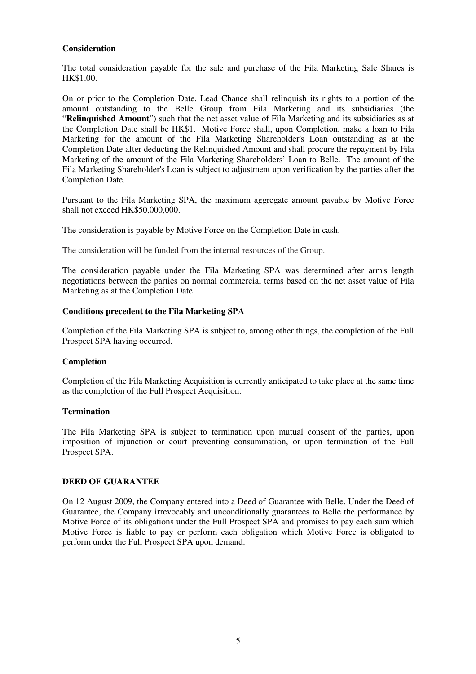## **Consideration**

The total consideration payable for the sale and purchase of the Fila Marketing Sale Shares is HK\$1.00.

On or prior to the Completion Date, Lead Chance shall relinquish its rights to a portion of the amount outstanding to the Belle Group from Fila Marketing and its subsidiaries (the "**Relinquished Amount**") such that the net asset value of Fila Marketing and its subsidiaries as at the Completion Date shall be HK\$1. Motive Force shall, upon Completion, make a loan to Fila Marketing for the amount of the Fila Marketing Shareholder's Loan outstanding as at the Completion Date after deducting the Relinquished Amount and shall procure the repayment by Fila Marketing of the amount of the Fila Marketing Shareholders' Loan to Belle. The amount of the Fila Marketing Shareholder's Loan is subject to adjustment upon verification by the parties after the Completion Date.

Pursuant to the Fila Marketing SPA, the maximum aggregate amount payable by Motive Force shall not exceed HK\$50,000,000.

The consideration is payable by Motive Force on the Completion Date in cash.

The consideration will be funded from the internal resources of the Group.

The consideration payable under the Fila Marketing SPA was determined after arm's length negotiations between the parties on normal commercial terms based on the net asset value of Fila Marketing as at the Completion Date.

#### **Conditions precedent to the Fila Marketing SPA**

Completion of the Fila Marketing SPA is subject to, among other things, the completion of the Full Prospect SPA having occurred.

#### **Completion**

Completion of the Fila Marketing Acquisition is currently anticipated to take place at the same time as the completion of the Full Prospect Acquisition.

#### **Termination**

The Fila Marketing SPA is subject to termination upon mutual consent of the parties, upon imposition of injunction or court preventing consummation, or upon termination of the Full Prospect SPA.

#### **DEED OF GUARANTEE**

On 12 August 2009, the Company entered into a Deed of Guarantee with Belle. Under the Deed of Guarantee, the Company irrevocably and unconditionally guarantees to Belle the performance by Motive Force of its obligations under the Full Prospect SPA and promises to pay each sum which Motive Force is liable to pay or perform each obligation which Motive Force is obligated to perform under the Full Prospect SPA upon demand.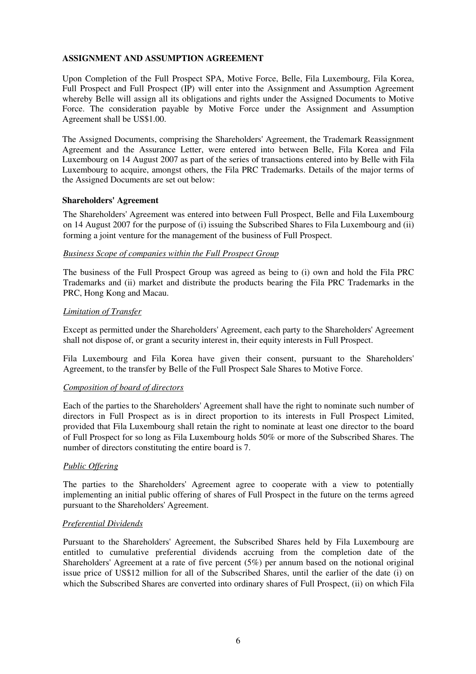## **ASSIGNMENT AND ASSUMPTION AGREEMENT**

Upon Completion of the Full Prospect SPA, Motive Force, Belle, Fila Luxembourg, Fila Korea, Full Prospect and Full Prospect (IP) will enter into the Assignment and Assumption Agreement whereby Belle will assign all its obligations and rights under the Assigned Documents to Motive Force. The consideration payable by Motive Force under the Assignment and Assumption Agreement shall be US\$1.00.

The Assigned Documents, comprising the Shareholders' Agreement, the Trademark Reassignment Agreement and the Assurance Letter, were entered into between Belle, Fila Korea and Fila Luxembourg on 14 August 2007 as part of the series of transactions entered into by Belle with Fila Luxembourg to acquire, amongst others, the Fila PRC Trademarks. Details of the major terms of the Assigned Documents are set out below:

## **Shareholders' Agreement**

The Shareholders' Agreement was entered into between Full Prospect, Belle and Fila Luxembourg on 14 August 2007 for the purpose of (i) issuing the Subscribed Shares to Fila Luxembourg and (ii) forming a joint venture for the management of the business of Full Prospect.

## *Business Scope of companies within the Full Prospect Group*

The business of the Full Prospect Group was agreed as being to (i) own and hold the Fila PRC Trademarks and (ii) market and distribute the products bearing the Fila PRC Trademarks in the PRC, Hong Kong and Macau.

#### *Limitation of Transfer*

Except as permitted under the Shareholders' Agreement, each party to the Shareholders' Agreement shall not dispose of, or grant a security interest in, their equity interests in Full Prospect.

Fila Luxembourg and Fila Korea have given their consent, pursuant to the Shareholders' Agreement, to the transfer by Belle of the Full Prospect Sale Shares to Motive Force.

## *Composition of board of directors*

Each of the parties to the Shareholders' Agreement shall have the right to nominate such number of directors in Full Prospect as is in direct proportion to its interests in Full Prospect Limited, provided that Fila Luxembourg shall retain the right to nominate at least one director to the board of Full Prospect for so long as Fila Luxembourg holds 50% or more of the Subscribed Shares. The number of directors constituting the entire board is 7.

## *Public Offering*

The parties to the Shareholders' Agreement agree to cooperate with a view to potentially implementing an initial public offering of shares of Full Prospect in the future on the terms agreed pursuant to the Shareholders' Agreement.

## *Preferential Dividends*

Pursuant to the Shareholders' Agreement, the Subscribed Shares held by Fila Luxembourg are entitled to cumulative preferential dividends accruing from the completion date of the Shareholders' Agreement at a rate of five percent (5%) per annum based on the notional original issue price of US\$12 million for all of the Subscribed Shares, until the earlier of the date (i) on which the Subscribed Shares are converted into ordinary shares of Full Prospect, (ii) on which Fila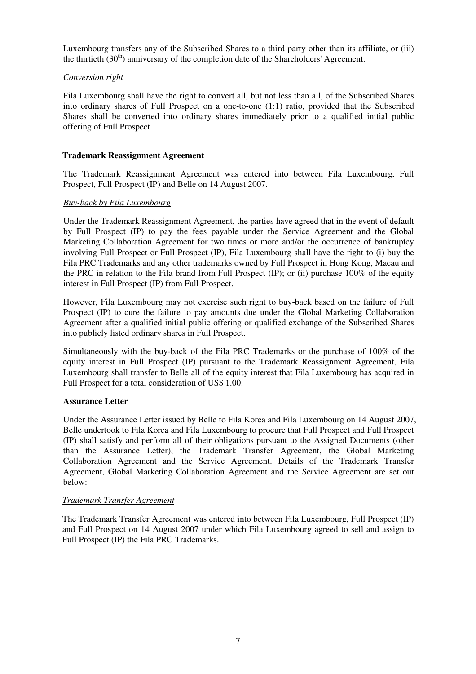Luxembourg transfers any of the Subscribed Shares to a third party other than its affiliate, or (iii) the thirtieth  $(30<sup>th</sup>)$  anniversary of the completion date of the Shareholders' Agreement.

## *Conversion right*

Fila Luxembourg shall have the right to convert all, but not less than all, of the Subscribed Shares into ordinary shares of Full Prospect on a one-to-one (1:1) ratio, provided that the Subscribed Shares shall be converted into ordinary shares immediately prior to a qualified initial public offering of Full Prospect.

## **Trademark Reassignment Agreement**

The Trademark Reassignment Agreement was entered into between Fila Luxembourg, Full Prospect, Full Prospect (IP) and Belle on 14 August 2007.

## *Buy-back by Fila Luxembourg*

Under the Trademark Reassignment Agreement, the parties have agreed that in the event of default by Full Prospect (IP) to pay the fees payable under the Service Agreement and the Global Marketing Collaboration Agreement for two times or more and/or the occurrence of bankruptcy involving Full Prospect or Full Prospect (IP), Fila Luxembourg shall have the right to (i) buy the Fila PRC Trademarks and any other trademarks owned by Full Prospect in Hong Kong, Macau and the PRC in relation to the Fila brand from Full Prospect (IP); or (ii) purchase 100% of the equity interest in Full Prospect (IP) from Full Prospect.

However, Fila Luxembourg may not exercise such right to buy-back based on the failure of Full Prospect (IP) to cure the failure to pay amounts due under the Global Marketing Collaboration Agreement after a qualified initial public offering or qualified exchange of the Subscribed Shares into publicly listed ordinary shares in Full Prospect.

Simultaneously with the buy-back of the Fila PRC Trademarks or the purchase of 100% of the equity interest in Full Prospect (IP) pursuant to the Trademark Reassignment Agreement, Fila Luxembourg shall transfer to Belle all of the equity interest that Fila Luxembourg has acquired in Full Prospect for a total consideration of US\$ 1.00.

## **Assurance Letter**

Under the Assurance Letter issued by Belle to Fila Korea and Fila Luxembourg on 14 August 2007, Belle undertook to Fila Korea and Fila Luxembourg to procure that Full Prospect and Full Prospect (IP) shall satisfy and perform all of their obligations pursuant to the Assigned Documents (other than the Assurance Letter), the Trademark Transfer Agreement, the Global Marketing Collaboration Agreement and the Service Agreement. Details of the Trademark Transfer Agreement, Global Marketing Collaboration Agreement and the Service Agreement are set out below:

## *Trademark Transfer Agreement*

The Trademark Transfer Agreement was entered into between Fila Luxembourg, Full Prospect (IP) and Full Prospect on 14 August 2007 under which Fila Luxembourg agreed to sell and assign to Full Prospect (IP) the Fila PRC Trademarks.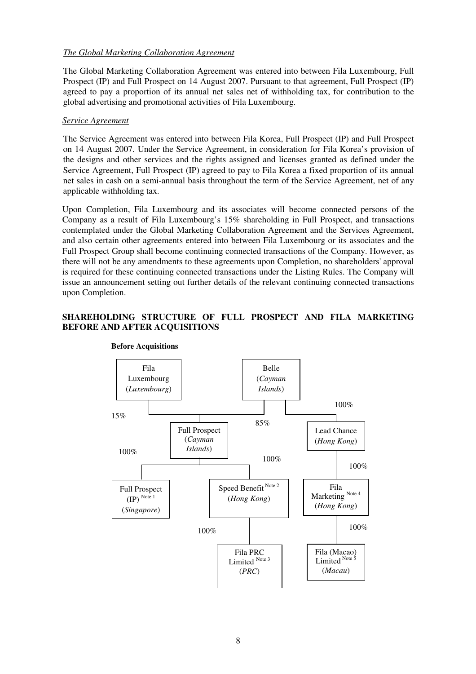## *The Global Marketing Collaboration Agreement*

The Global Marketing Collaboration Agreement was entered into between Fila Luxembourg, Full Prospect (IP) and Full Prospect on 14 August 2007. Pursuant to that agreement, Full Prospect (IP) agreed to pay a proportion of its annual net sales net of withholding tax, for contribution to the global advertising and promotional activities of Fila Luxembourg.

## *Service Agreement*

The Service Agreement was entered into between Fila Korea, Full Prospect (IP) and Full Prospect on 14 August 2007. Under the Service Agreement, in consideration for Fila Korea's provision of the designs and other services and the rights assigned and licenses granted as defined under the Service Agreement, Full Prospect (IP) agreed to pay to Fila Korea a fixed proportion of its annual net sales in cash on a semi-annual basis throughout the term of the Service Agreement, net of any applicable withholding tax.

Upon Completion, Fila Luxembourg and its associates will become connected persons of the Company as a result of Fila Luxembourg's 15% shareholding in Full Prospect, and transactions contemplated under the Global Marketing Collaboration Agreement and the Services Agreement, and also certain other agreements entered into between Fila Luxembourg or its associates and the Full Prospect Group shall become continuing connected transactions of the Company. However, as there will not be any amendments to these agreements upon Completion, no shareholders' approval is required for these continuing connected transactions under the Listing Rules. The Company will issue an announcement setting out further details of the relevant continuing connected transactions upon Completion.

## **SHAREHOLDING STRUCTURE OF FULL PROSPECT AND FILA MARKETING BEFORE AND AFTER ACQUISITIONS**



#### **Before Acquisitions**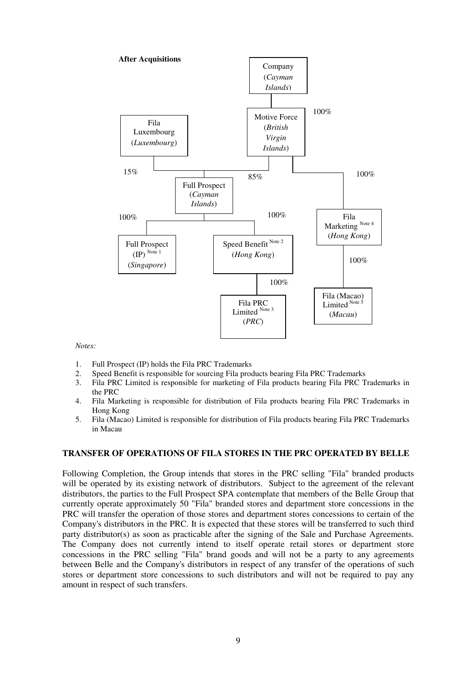

*Notes:* 

- 1. Full Prospect (IP) holds the Fila PRC Trademarks
- 2. Speed Benefit is responsible for sourcing Fila products bearing Fila PRC Trademarks
- 3. Fila PRC Limited is responsible for marketing of Fila products bearing Fila PRC Trademarks in the PRC
- 4. Fila Marketing is responsible for distribution of Fila products bearing Fila PRC Trademarks in Hong Kong
- 5. Fila (Macao) Limited is responsible for distribution of Fila products bearing Fila PRC Trademarks in Macau

#### **TRANSFER OF OPERATIONS OF FILA STORES IN THE PRC OPERATED BY BELLE**

Following Completion, the Group intends that stores in the PRC selling "Fila" branded products will be operated by its existing network of distributors. Subject to the agreement of the relevant distributors, the parties to the Full Prospect SPA contemplate that members of the Belle Group that currently operate approximately 50 "Fila" branded stores and department store concessions in the PRC will transfer the operation of those stores and department stores concessions to certain of the Company's distributors in the PRC. It is expected that these stores will be transferred to such third party distributor(s) as soon as practicable after the signing of the Sale and Purchase Agreements. The Company does not currently intend to itself operate retail stores or department store concessions in the PRC selling "Fila" brand goods and will not be a party to any agreements between Belle and the Company's distributors in respect of any transfer of the operations of such stores or department store concessions to such distributors and will not be required to pay any amount in respect of such transfers.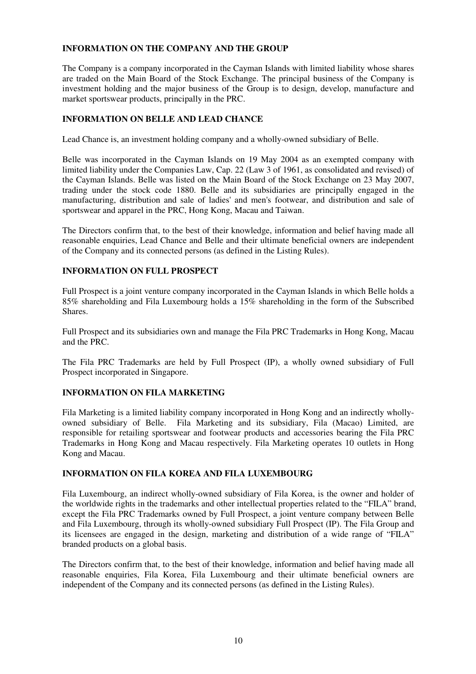## **INFORMATION ON THE COMPANY AND THE GROUP**

The Company is a company incorporated in the Cayman Islands with limited liability whose shares are traded on the Main Board of the Stock Exchange. The principal business of the Company is investment holding and the major business of the Group is to design, develop, manufacture and market sportswear products, principally in the PRC.

## **INFORMATION ON BELLE AND LEAD CHANCE**

Lead Chance is, an investment holding company and a wholly-owned subsidiary of Belle.

Belle was incorporated in the Cayman Islands on 19 May 2004 as an exempted company with limited liability under the Companies Law, Cap. 22 (Law 3 of 1961, as consolidated and revised) of the Cayman Islands. Belle was listed on the Main Board of the Stock Exchange on 23 May 2007, trading under the stock code 1880. Belle and its subsidiaries are principally engaged in the manufacturing, distribution and sale of ladies' and men's footwear, and distribution and sale of sportswear and apparel in the PRC, Hong Kong, Macau and Taiwan.

The Directors confirm that, to the best of their knowledge, information and belief having made all reasonable enquiries, Lead Chance and Belle and their ultimate beneficial owners are independent of the Company and its connected persons (as defined in the Listing Rules).

## **INFORMATION ON FULL PROSPECT**

Full Prospect is a joint venture company incorporated in the Cayman Islands in which Belle holds a 85% shareholding and Fila Luxembourg holds a 15% shareholding in the form of the Subscribed Shares.

Full Prospect and its subsidiaries own and manage the Fila PRC Trademarks in Hong Kong, Macau and the PRC.

The Fila PRC Trademarks are held by Full Prospect (IP), a wholly owned subsidiary of Full Prospect incorporated in Singapore.

## **INFORMATION ON FILA MARKETING**

Fila Marketing is a limited liability company incorporated in Hong Kong and an indirectly whollyowned subsidiary of Belle. Fila Marketing and its subsidiary, Fila (Macao) Limited, are responsible for retailing sportswear and footwear products and accessories bearing the Fila PRC Trademarks in Hong Kong and Macau respectively. Fila Marketing operates 10 outlets in Hong Kong and Macau.

## **INFORMATION ON FILA KOREA AND FILA LUXEMBOURG**

Fila Luxembourg, an indirect wholly-owned subsidiary of Fila Korea, is the owner and holder of the worldwide rights in the trademarks and other intellectual properties related to the "FILA" brand, except the Fila PRC Trademarks owned by Full Prospect, a joint venture company between Belle and Fila Luxembourg, through its wholly-owned subsidiary Full Prospect (IP). The Fila Group and its licensees are engaged in the design, marketing and distribution of a wide range of "FILA" branded products on a global basis.

The Directors confirm that, to the best of their knowledge, information and belief having made all reasonable enquiries, Fila Korea, Fila Luxembourg and their ultimate beneficial owners are independent of the Company and its connected persons (as defined in the Listing Rules).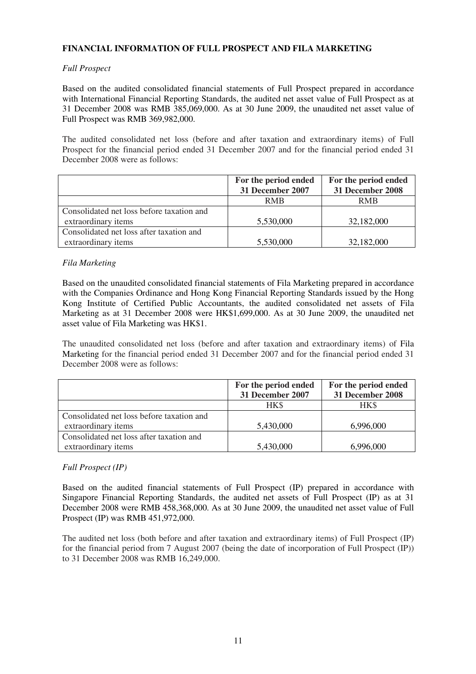## **FINANCIAL INFORMATION OF FULL PROSPECT AND FILA MARKETING**

## *Full Prospect*

Based on the audited consolidated financial statements of Full Prospect prepared in accordance with International Financial Reporting Standards, the audited net asset value of Full Prospect as at 31 December 2008 was RMB 385,069,000. As at 30 June 2009, the unaudited net asset value of Full Prospect was RMB 369,982,000.

The audited consolidated net loss (before and after taxation and extraordinary items) of Full Prospect for the financial period ended 31 December 2007 and for the financial period ended 31 December 2008 were as follows:

|                                           | For the period ended | For the period ended |
|-------------------------------------------|----------------------|----------------------|
|                                           | 31 December 2007     | 31 December 2008     |
|                                           | <b>RMB</b>           | <b>RMB</b>           |
| Consolidated net loss before taxation and |                      |                      |
| extraordinary items                       | 5,530,000            | 32,182,000           |
| Consolidated net loss after taxation and  |                      |                      |
| extraordinary items                       | 5,530,000            | 32,182,000           |

## *Fila Marketing*

Based on the unaudited consolidated financial statements of Fila Marketing prepared in accordance with the Companies Ordinance and Hong Kong Financial Reporting Standards issued by the Hong Kong Institute of Certified Public Accountants, the audited consolidated net assets of Fila Marketing as at 31 December 2008 were HK\$1,699,000. As at 30 June 2009, the unaudited net asset value of Fila Marketing was HK\$1.

The unaudited consolidated net loss (before and after taxation and extraordinary items) of Fila Marketing for the financial period ended 31 December 2007 and for the financial period ended 31 December 2008 were as follows:

|                                           | For the period ended    | For the period ended |
|-------------------------------------------|-------------------------|----------------------|
|                                           | <b>31 December 2007</b> | 31 December 2008     |
|                                           | HK\$                    | HK\$                 |
| Consolidated net loss before taxation and |                         |                      |
| extraordinary items                       | 5,430,000               | 6,996,000            |
| Consolidated net loss after taxation and  |                         |                      |
| extraordinary items                       | 5,430,000               | 6,996,000            |

## *Full Prospect (IP)*

Based on the audited financial statements of Full Prospect (IP) prepared in accordance with Singapore Financial Reporting Standards, the audited net assets of Full Prospect (IP) as at 31 December 2008 were RMB 458,368,000. As at 30 June 2009, the unaudited net asset value of Full Prospect (IP) was RMB 451,972,000.

The audited net loss (both before and after taxation and extraordinary items) of Full Prospect (IP) for the financial period from 7 August 2007 (being the date of incorporation of Full Prospect (IP)) to 31 December 2008 was RMB 16,249,000.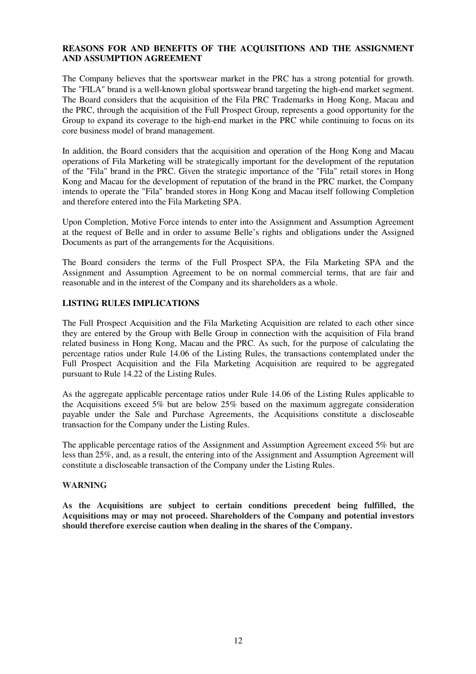## **REASONS FOR AND BENEFITS OF THE ACQUISITIONS AND THE ASSIGNMENT AND ASSUMPTION AGREEMENT**

The Company believes that the sportswear market in the PRC has a strong potential for growth. The "FILA" brand is a well-known global sportswear brand targeting the high-end market segment. The Board considers that the acquisition of the Fila PRC Trademarks in Hong Kong, Macau and the PRC, through the acquisition of the Full Prospect Group, represents a good opportunity for the Group to expand its coverage to the high-end market in the PRC while continuing to focus on its core business model of brand management.

In addition, the Board considers that the acquisition and operation of the Hong Kong and Macau operations of Fila Marketing will be strategically important for the development of the reputation of the "Fila" brand in the PRC. Given the strategic importance of the "Fila" retail stores in Hong Kong and Macau for the development of reputation of the brand in the PRC market, the Company intends to operate the "Fila" branded stores in Hong Kong and Macau itself following Completion and therefore entered into the Fila Marketing SPA.

Upon Completion, Motive Force intends to enter into the Assignment and Assumption Agreement at the request of Belle and in order to assume Belle's rights and obligations under the Assigned Documents as part of the arrangements for the Acquisitions.

The Board considers the terms of the Full Prospect SPA, the Fila Marketing SPA and the Assignment and Assumption Agreement to be on normal commercial terms, that are fair and reasonable and in the interest of the Company and its shareholders as a whole.

## **LISTING RULES IMPLICATIONS**

The Full Prospect Acquisition and the Fila Marketing Acquisition are related to each other since they are entered by the Group with Belle Group in connection with the acquisition of Fila brand related business in Hong Kong, Macau and the PRC. As such, for the purpose of calculating the percentage ratios under Rule 14.06 of the Listing Rules, the transactions contemplated under the Full Prospect Acquisition and the Fila Marketing Acquisition are required to be aggregated pursuant to Rule 14.22 of the Listing Rules.

As the aggregate applicable percentage ratios under Rule 14.06 of the Listing Rules applicable to the Acquisitions exceed 5% but are below 25% based on the maximum aggregate consideration payable under the Sale and Purchase Agreements, the Acquisitions constitute a discloseable transaction for the Company under the Listing Rules.

The applicable percentage ratios of the Assignment and Assumption Agreement exceed 5% but are less than 25%, and, as a result, the entering into of the Assignment and Assumption Agreement will constitute a discloseable transaction of the Company under the Listing Rules.

## **WARNING**

**As the Acquisitions are subject to certain conditions precedent being fulfilled, the Acquisitions may or may not proceed. Shareholders of the Company and potential investors should therefore exercise caution when dealing in the shares of the Company.**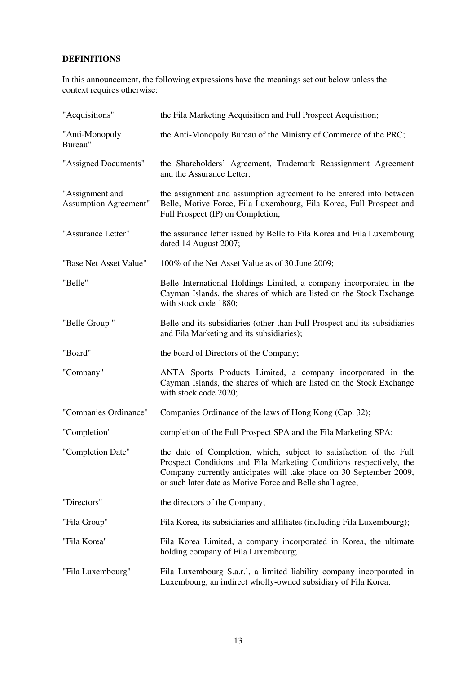## **DEFINITIONS**

In this announcement, the following expressions have the meanings set out below unless the context requires otherwise:

| "Acquisitions"                                  | the Fila Marketing Acquisition and Full Prospect Acquisition;                                                                                                                                                                                                                 |
|-------------------------------------------------|-------------------------------------------------------------------------------------------------------------------------------------------------------------------------------------------------------------------------------------------------------------------------------|
| "Anti-Monopoly<br>Bureau"                       | the Anti-Monopoly Bureau of the Ministry of Commerce of the PRC;                                                                                                                                                                                                              |
| "Assigned Documents"                            | the Shareholders' Agreement, Trademark Reassignment Agreement<br>and the Assurance Letter;                                                                                                                                                                                    |
| "Assignment and<br><b>Assumption Agreement"</b> | the assignment and assumption agreement to be entered into between<br>Belle, Motive Force, Fila Luxembourg, Fila Korea, Full Prospect and<br>Full Prospect (IP) on Completion;                                                                                                |
| "Assurance Letter"                              | the assurance letter issued by Belle to Fila Korea and Fila Luxembourg<br>dated 14 August 2007;                                                                                                                                                                               |
| "Base Net Asset Value"                          | 100% of the Net Asset Value as of 30 June 2009;                                                                                                                                                                                                                               |
| "Belle"                                         | Belle International Holdings Limited, a company incorporated in the<br>Cayman Islands, the shares of which are listed on the Stock Exchange<br>with stock code 1880;                                                                                                          |
| "Belle Group"                                   | Belle and its subsidiaries (other than Full Prospect and its subsidiaries<br>and Fila Marketing and its subsidiaries);                                                                                                                                                        |
| "Board"                                         | the board of Directors of the Company;                                                                                                                                                                                                                                        |
| "Company"                                       | ANTA Sports Products Limited, a company incorporated in the<br>Cayman Islands, the shares of which are listed on the Stock Exchange<br>with stock code 2020;                                                                                                                  |
| "Companies Ordinance"                           | Companies Ordinance of the laws of Hong Kong (Cap. 32);                                                                                                                                                                                                                       |
| "Completion"                                    | completion of the Full Prospect SPA and the Fila Marketing SPA;                                                                                                                                                                                                               |
| "Completion Date"                               | the date of Completion, which, subject to satisfaction of the Full<br>Prospect Conditions and Fila Marketing Conditions respectively, the<br>Company currently anticipates will take place on 30 September 2009,<br>or such later date as Motive Force and Belle shall agree; |
| "Directors"                                     | the directors of the Company;                                                                                                                                                                                                                                                 |
| "Fila Group"                                    | Fila Korea, its subsidiaries and affiliates (including Fila Luxembourg);                                                                                                                                                                                                      |
| "Fila Korea"                                    | Fila Korea Limited, a company incorporated in Korea, the ultimate<br>holding company of Fila Luxembourg;                                                                                                                                                                      |
| "Fila Luxembourg"                               | Fila Luxembourg S.a.r.l, a limited liability company incorporated in<br>Luxembourg, an indirect wholly-owned subsidiary of Fila Korea;                                                                                                                                        |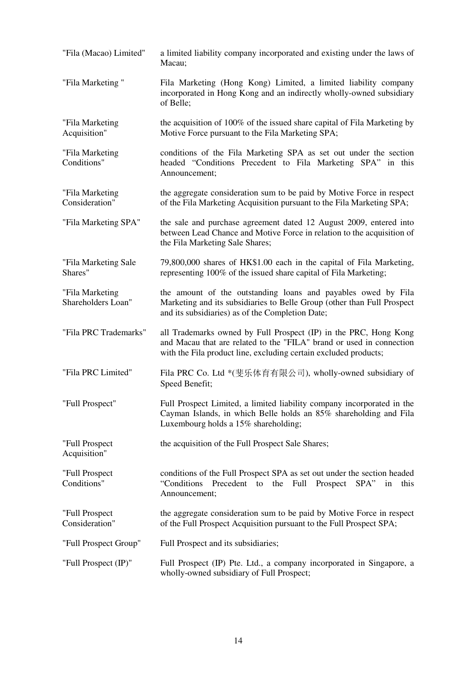"Fila (Macao) Limited" a limited liability company incorporated and existing under the laws of Macau; "Fila Marketing " Fila Marketing (Hong Kong) Limited, a limited liability company incorporated in Hong Kong and an indirectly wholly-owned subsidiary of Belle; "Fila Marketing Acquisition" the acquisition of 100% of the issued share capital of Fila Marketing by Motive Force pursuant to the Fila Marketing SPA; "Fila Marketing Conditions" conditions of the Fila Marketing SPA as set out under the section headed "Conditions Precedent to Fila Marketing SPA" in this Announcement; "Fila Marketing Consideration" the aggregate consideration sum to be paid by Motive Force in respect of the Fila Marketing Acquisition pursuant to the Fila Marketing SPA; "Fila Marketing SPA" the sale and purchase agreement dated 12 August 2009, entered into between Lead Chance and Motive Force in relation to the acquisition of the Fila Marketing Sale Shares; "Fila Marketing Sale Shares" 79,800,000 shares of HK\$1.00 each in the capital of Fila Marketing, representing 100% of the issued share capital of Fila Marketing; "Fila Marketing Shareholders Loan" the amount of the outstanding loans and payables owed by Fila Marketing and its subsidiaries to Belle Group (other than Full Prospect and its subsidiaries) as of the Completion Date; "Fila PRC Trademarks" all Trademarks owned by Full Prospect (IP) in the PRC, Hong Kong and Macau that are related to the "FILA" brand or used in connection with the Fila product line, excluding certain excluded products; "Fila PRC Limited" Fila PRC Co. Ltd \*(斐乐体育有限公司), wholly-owned subsidiary of Speed Benefit; "Full Prospect" Full Prospect Limited, a limited liability company incorporated in the Cayman Islands, in which Belle holds an 85% shareholding and Fila Luxembourg holds a 15% shareholding; "Full Prospect Acquisition" the acquisition of the Full Prospect Sale Shares; "Full Prospect Conditions" conditions of the Full Prospect SPA as set out under the section headed "Conditions Precedent to the Full Prospect SPA" in this Announcement; "Full Prospect Consideration" the aggregate consideration sum to be paid by Motive Force in respect of the Full Prospect Acquisition pursuant to the Full Prospect SPA; "Full Prospect Group" Full Prospect and its subsidiaries; "Full Prospect (IP)" Full Prospect (IP) Pte. Ltd., a company incorporated in Singapore, a wholly-owned subsidiary of Full Prospect;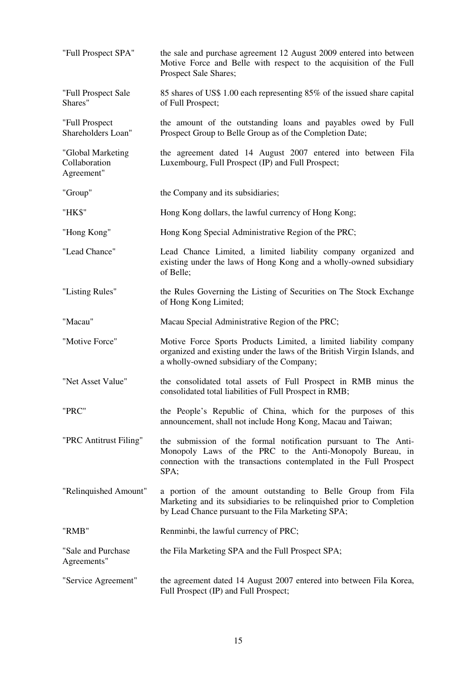| "Full Prospect SPA"                              | the sale and purchase agreement 12 August 2009 entered into between<br>Motive Force and Belle with respect to the acquisition of the Full<br>Prospect Sale Shares;                                        |
|--------------------------------------------------|-----------------------------------------------------------------------------------------------------------------------------------------------------------------------------------------------------------|
| "Full Prospect Sale<br>Shares"                   | 85 shares of US\$ 1.00 each representing 85% of the issued share capital<br>of Full Prospect;                                                                                                             |
| "Full Prospect<br>Shareholders Loan"             | the amount of the outstanding loans and payables owed by Full<br>Prospect Group to Belle Group as of the Completion Date;                                                                                 |
| "Global Marketing<br>Collaboration<br>Agreement" | the agreement dated 14 August 2007 entered into between Fila<br>Luxembourg, Full Prospect (IP) and Full Prospect;                                                                                         |
| "Group"                                          | the Company and its subsidiaries;                                                                                                                                                                         |
| "HK\$"                                           | Hong Kong dollars, the lawful currency of Hong Kong;                                                                                                                                                      |
| "Hong Kong"                                      | Hong Kong Special Administrative Region of the PRC;                                                                                                                                                       |
| "Lead Chance"                                    | Lead Chance Limited, a limited liability company organized and<br>existing under the laws of Hong Kong and a wholly-owned subsidiary<br>of Belle;                                                         |
| "Listing Rules"                                  | the Rules Governing the Listing of Securities on The Stock Exchange<br>of Hong Kong Limited;                                                                                                              |
| "Macau"                                          | Macau Special Administrative Region of the PRC;                                                                                                                                                           |
| "Motive Force"                                   | Motive Force Sports Products Limited, a limited liability company<br>organized and existing under the laws of the British Virgin Islands, and<br>a wholly-owned subsidiary of the Company;                |
| "Net Asset Value"                                | the consolidated total assets of Full Prospect in RMB minus the<br>consolidated total liabilities of Full Prospect in RMB;                                                                                |
| "PRC"                                            | the People's Republic of China, which for the purposes of this<br>announcement, shall not include Hong Kong, Macau and Taiwan;                                                                            |
| "PRC Antitrust Filing"                           | the submission of the formal notification pursuant to The Anti-<br>Monopoly Laws of the PRC to the Anti-Monopoly Bureau, in<br>connection with the transactions contemplated in the Full Prospect<br>SPA; |
| "Relinquished Amount"                            | a portion of the amount outstanding to Belle Group from Fila<br>Marketing and its subsidiaries to be relinquished prior to Completion<br>by Lead Chance pursuant to the Fila Marketing SPA;               |
| "RMB"                                            | Renminbi, the lawful currency of PRC;                                                                                                                                                                     |
| "Sale and Purchase"<br>Agreements"               | the Fila Marketing SPA and the Full Prospect SPA;                                                                                                                                                         |
| "Service Agreement"                              | the agreement dated 14 August 2007 entered into between Fila Korea,<br>Full Prospect (IP) and Full Prospect;                                                                                              |